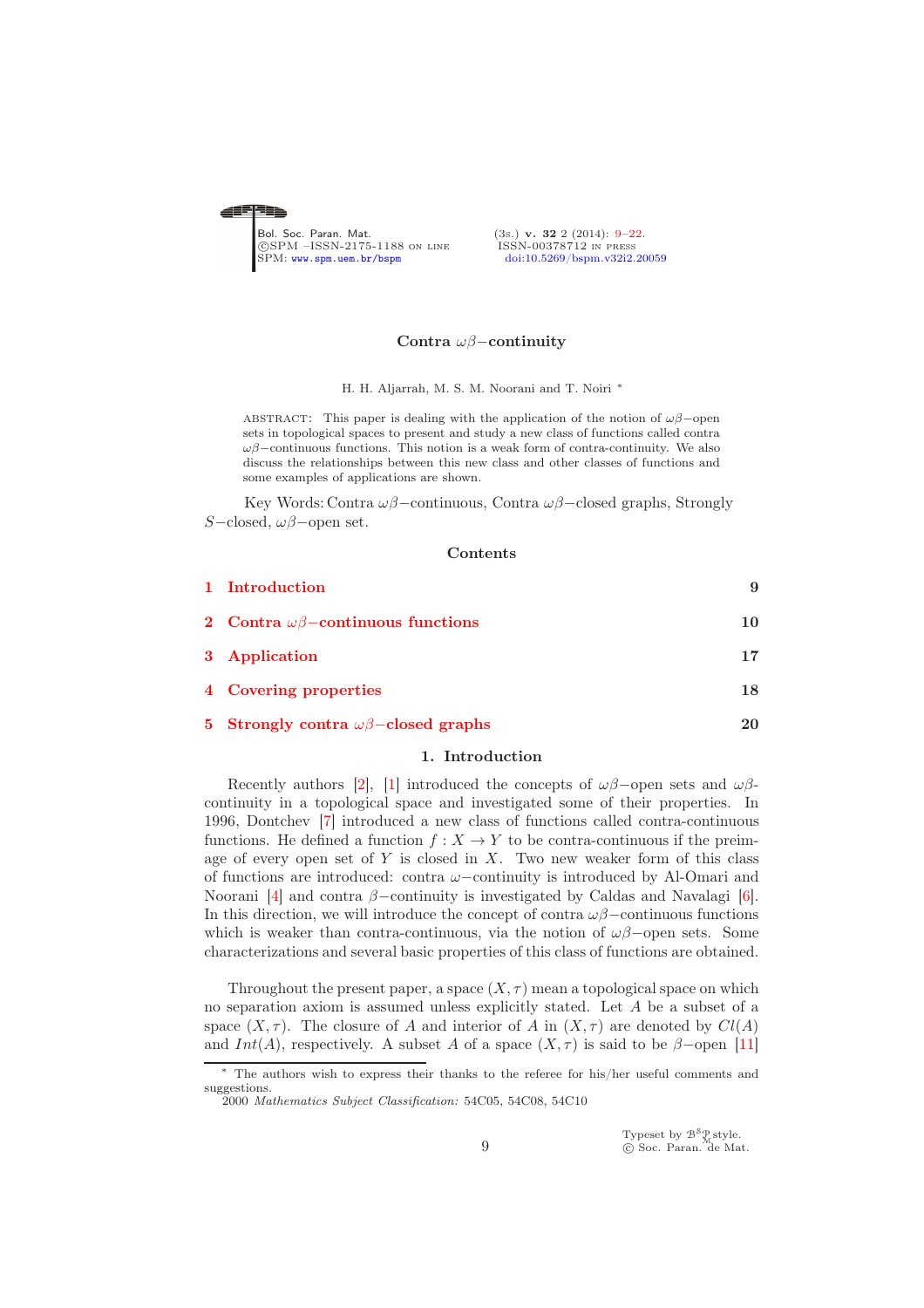<span id="page-0-0"></span>

## Contra ωβ−continuity

H. H. Aljarrah, M. S. M. Noorani and T. Noiri <sup>∗</sup>

ABSTRACT: This paper is dealing with the application of the notion of  $\omega\beta$ –open sets in topological spaces to present and study a new class of functions called contra  $\omega\beta$ –continuous functions. This notion is a weak form of contra-continuity. We also discuss the relationships between this new class and other classes of functions and some examples of applications are shown.

Key Words: Contra  $\omega\beta$ –continuous, Contra  $\omega\beta$ –closed graphs, Strongly S−closed, ωβ−open set.

## Contents

| 1 Introduction                                 | 9  |
|------------------------------------------------|----|
| 2 Contra $\omega\beta$ -continuous functions   | 10 |
| 3 Application                                  | 17 |
| 4 Covering properties                          | 18 |
| 5 Strongly contra $\omega\beta$ -closed graphs | 20 |

## 1. Introduction

<span id="page-0-1"></span>Recently authors [\[2\]](#page-12-1), [\[1\]](#page-12-2) introduced the concepts of  $\omega\beta$ –open sets and  $\omega\beta$ continuity in a topological space and investigated some of their properties. In 1996, Dontchev [\[7\]](#page-12-3) introduced a new class of functions called contra-continuous functions. He defined a function  $f : X \to Y$  to be contra-continuous if the preimage of every open set of  $Y$  is closed in  $X$ . Two new weaker form of this class of functions are introduced: contra  $\omega$ –continuity is introduced by Al-Omari and Noorani [\[4\]](#page-12-4) and contra  $\beta$ -continuity is investigated by Caldas and Navalagi [\[6\]](#page-12-5). In this direction, we will introduce the concept of contra  $\omega\beta$ –continuous functions which is weaker than contra-continuous, via the notion of  $\omega\beta$ –open sets. Some characterizations and several basic properties of this class of functions are obtained.

Throughout the present paper, a space  $(X, \tau)$  mean a topological space on which no separation axiom is assumed unless explicitly stated. Let A be a subset of a space  $(X, \tau)$ . The closure of A and interior of A in  $(X, \tau)$  are denoted by  $Cl(A)$ and  $Int(A)$ , respectively. A subset A of a space  $(X, \tau)$  is said to be  $\beta$ -open [\[11\]](#page-13-0)

Typeset by  $\mathcal{B}^{\mathcal{S}}_{\mathcal{M}}^{\mathcal{S}}$ style.<br>© Soc. Paran. de Mat.

The authors wish to express their thanks to the referee for his/her useful comments and suggestions.

<sup>2000</sup> *Mathematics Subject Classification:* 54C05, 54C08, 54C10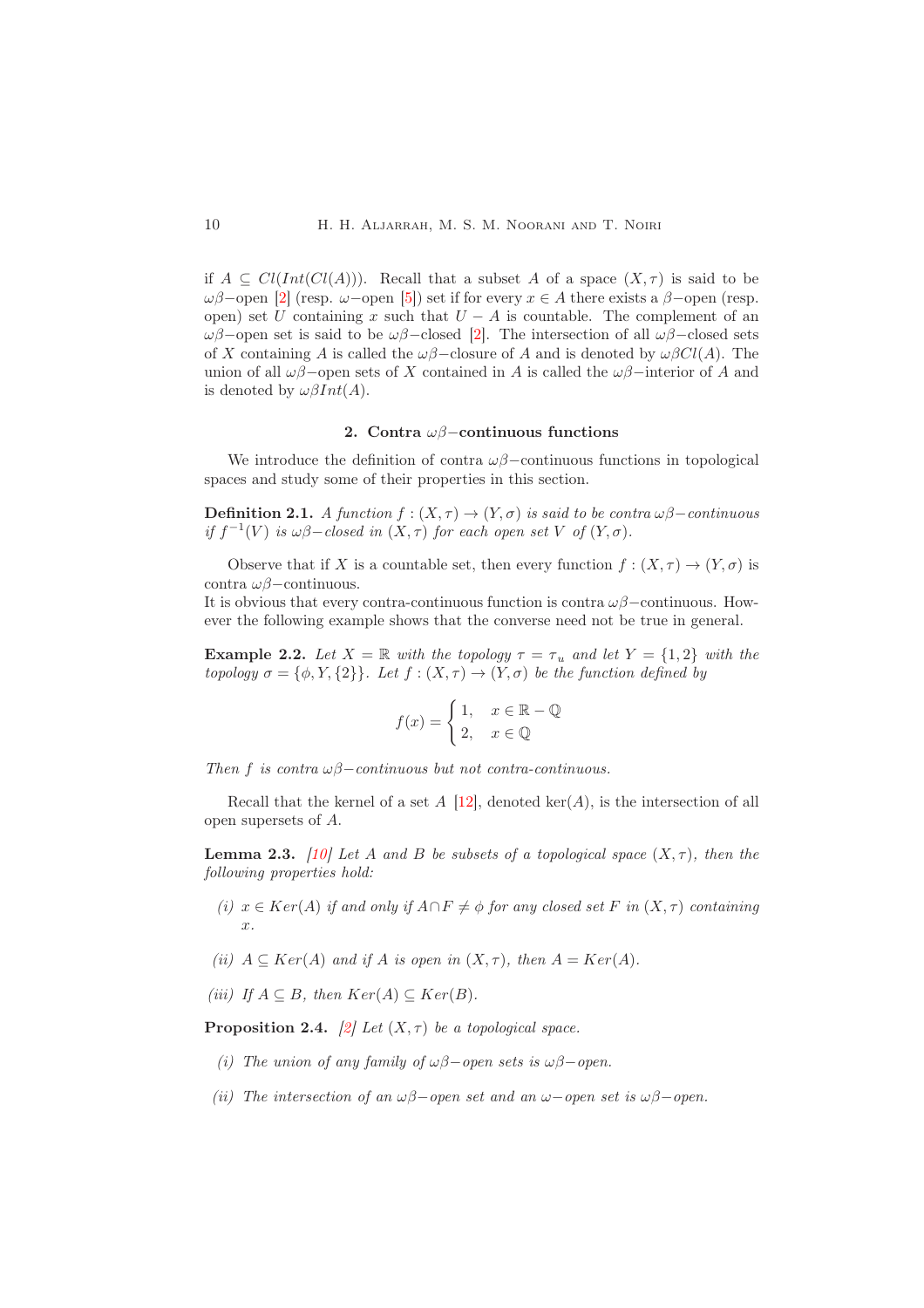if  $A \subseteq Cl(Int(Cl(A)))$ . Recall that a subset A of a space  $(X, \tau)$  is said to be  $ωβ$ –open [\[2\]](#page-12-1) (resp. ω–open [\[5\]](#page-12-6)) set if for every  $x ∈ A$  there exists a  $β$ –open (resp. open) set U containing x such that  $U - A$  is countable. The complement of an  $ωβ$ –open set is said to be  $ωβ$ –closed [\[2\]](#page-12-1). The intersection of all  $ωβ$ –closed sets of X containing A is called the  $\omega\beta$ –closure of A and is denoted by  $\omega\beta Cl(A)$ . The union of all  $\omega\beta$ –open sets of X contained in A is called the  $\omega\beta$ –interior of A and is denoted by  $\omega\beta Int(A)$ .

# 2. Contra  $\omega\beta$ -continuous functions

<span id="page-1-0"></span>We introduce the definition of contra  $\omega\beta$ –continuous functions in topological spaces and study some of their properties in this section.

**Definition 2.1.** A function  $f : (X, \tau) \to (Y, \sigma)$  is said to be contra  $\omega\beta$  – continuous if  $f^{-1}(V)$  is  $\omega\beta$ -closed in  $(X, \tau)$  for each open set V of  $(Y, \sigma)$ .

Observe that if X is a countable set, then every function  $f : (X, \tau) \to (Y, \sigma)$  is contra ωβ−continuous.

It is obvious that every contra-continuous function is contra  $\omega\beta$ –continuous. However the following example shows that the converse need not be true in general.

**Example 2.2.** Let  $X = \mathbb{R}$  with the topology  $\tau = \tau_u$  and let  $Y = \{1, 2\}$  with the topology  $\sigma = {\phi, Y, {2}}$ . Let  $f : (X, \tau) \to (Y, \sigma)$  be the function defined by

$$
f(x) = \begin{cases} 1, & x \in \mathbb{R} - \mathbb{Q} \\ 2, & x \in \mathbb{Q} \end{cases}
$$

Then f is contra  $\omega\beta$ -continuous but not contra-continuous.

Recall that the kernel of a set  $A \sim [12]$  $A \sim [12]$ , denoted ker $(A)$ , is the intersection of all open supersets of A.

**Lemma 2.3.** [\[10\]](#page-13-2) Let A and B be subsets of a topological space  $(X, \tau)$ , then the following properties hold:

- (i)  $x \in Ker(A)$  if and only if  $A \cap F \neq \emptyset$  for any closed set F in  $(X, \tau)$  containing x.
- (ii)  $A \subseteq Ker(A)$  and if A is open in  $(X, \tau)$ , then  $A = Ker(A)$ .

(iii) If  $A \subseteq B$ , then  $Ker(A) \subseteq Ker(B)$ .

**Proposition 2.4.** [\[2\]](#page-12-1) Let  $(X, \tau)$  be a topological space.

- (i) The union of any family of  $\omega\beta$ -open sets is  $\omega\beta$ -open.
- (ii) The intersection of an  $\omega\beta$ -open set and an  $\omega$ -open set is  $\omega\beta$ -open.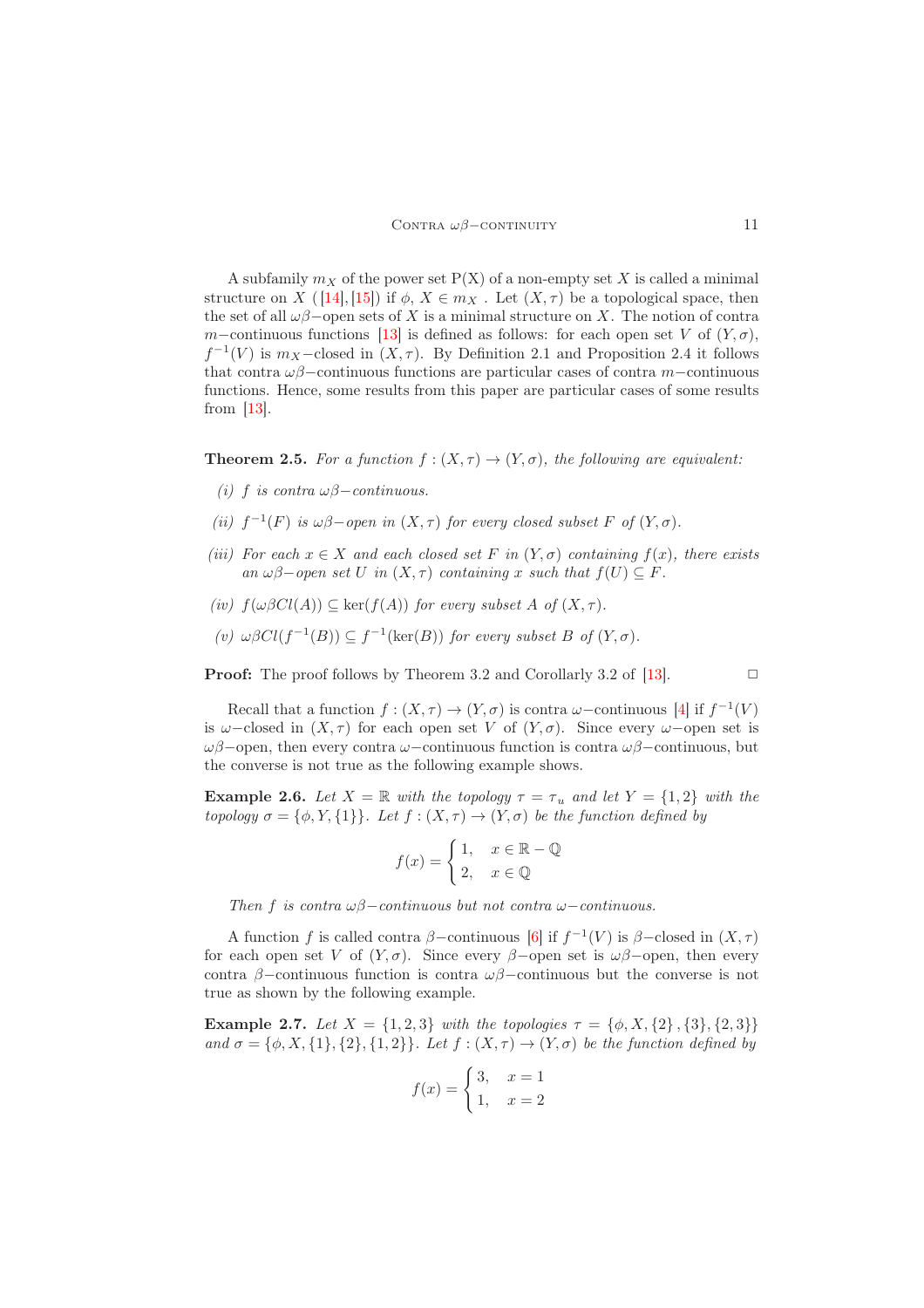A subfamily  $m_X$  of the power set  $P(X)$  of a non-empty set X is called a minimal structure on X ( [\[14\]](#page-13-3), [\[15\]](#page-13-4)) if  $\phi$ ,  $X \in m_X$ . Let  $(X, \tau)$  be a topological space, then the set of all  $\omega\beta$ −open sets of X is a minimal structure on X. The notion of contra m–continuous functions [\[13\]](#page-13-5) is defined as follows: for each open set V of  $(Y, \sigma)$ ,  $f^{-1}(V)$  is  $m_X$ -closed in  $(X, \tau)$ . By Definition 2.1 and Proposition 2.4 it follows that contra  $\omega\beta$ −continuous functions are particular cases of contra m−continuous functions. Hence, some results from this paper are particular cases of some results from  $|13|$ .

**Theorem 2.5.** For a function  $f : (X, \tau) \to (Y, \sigma)$ , the following are equivalent:

- (i) f is contra  $\omega\beta$  continuous.
- (ii)  $f^{-1}(F)$  is  $\omega\beta$ -open in  $(X, \tau)$  for every closed subset F of  $(Y, \sigma)$ .
- (iii) For each  $x \in X$  and each closed set F in  $(Y, \sigma)$  containing  $f(x)$ , there exists an  $\omega\beta$ -open set U in  $(X, \tau)$  containing x such that  $f(U) \subseteq F$ .
- (iv)  $f(\omega \beta Cl(A)) \subseteq \ker(f(A))$  for every subset A of  $(X, \tau)$ .
- (v)  $\omega \beta Cl(f^{-1}(B)) \subseteq f^{-1}(\text{ker}(B))$  for every subset B of  $(Y, \sigma)$ .

**Proof:** The proof follows by Theorem 3.2 and Corollarly 3.2 of [\[13\]](#page-13-5).  $\Box$ 

Recall that a function  $f : (X, \tau) \to (Y, \sigma)$  is contra  $\omega$ -continuous [\[4\]](#page-12-4) if  $f^{-1}(V)$ is  $\omega$ -closed in  $(X, \tau)$  for each open set V of  $(Y, \sigma)$ . Since every  $\omega$ -open set is ωβ−open, then every contra ω−continuous function is contra ωβ−continuous, but the converse is not true as the following example shows.

**Example 2.6.** Let  $X = \mathbb{R}$  with the topology  $\tau = \tau_u$  and let  $Y = \{1, 2\}$  with the topology  $\sigma = {\phi, Y, {1}}$ . Let  $f : (X, \tau) \to (Y, \sigma)$  be the function defined by

$$
f(x) = \begin{cases} 1, & x \in \mathbb{R} - \mathbb{Q} \\ 2, & x \in \mathbb{Q} \end{cases}
$$

Then f is contra  $\omega\beta$ −continuous but not contra  $\omega$ −continuous.

A function f is called contra  $\beta$ -continuous [\[6\]](#page-12-5) if  $f^{-1}(V)$  is  $\beta$ -closed in  $(X, \tau)$ for each open set V of  $(Y, \sigma)$ . Since every  $\beta$ -open set is  $\omega\beta$ -open, then every contra β−continuous function is contra  $\omega\beta$ −continuous but the converse is not true as shown by the following example.

**Example 2.7.** Let  $X = \{1, 2, 3\}$  with the topologies  $\tau = \{\phi, X, \{2\}, \{3\}, \{2, 3\}\}\$ and  $\sigma = {\phi, X, {1}, {2}, {1, 2}}$ . Let  $f : (X, \tau) \to (Y, \sigma)$  be the function defined by

$$
f(x) = \begin{cases} 3, & x = 1 \\ 1, & x = 2 \end{cases}
$$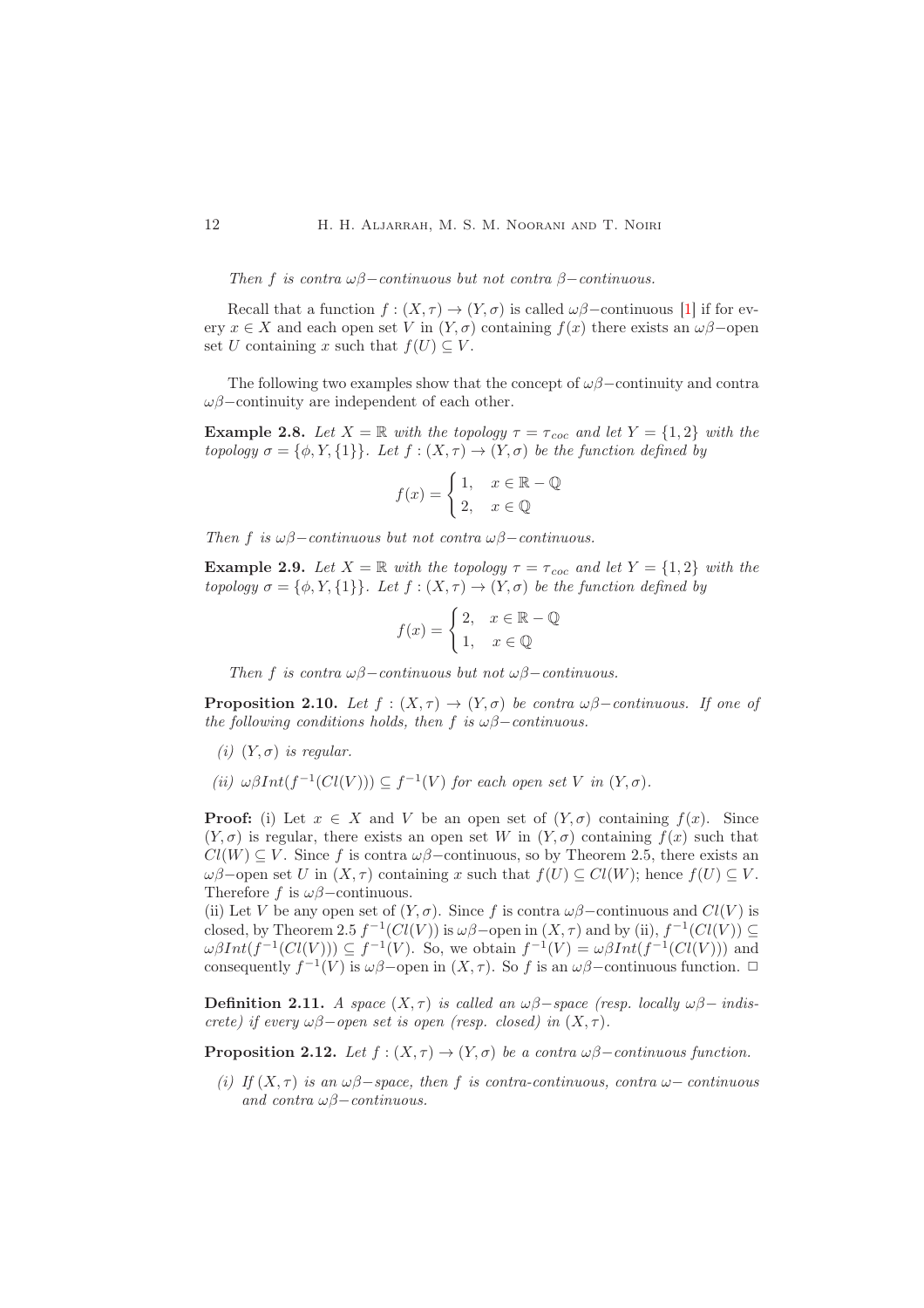Then f is contra  $\omega\beta$ −continuous but not contra  $\beta$ −continuous.

Recall that a function  $f : (X, \tau) \to (Y, \sigma)$  is called  $\omega\beta$ -continuous [\[1\]](#page-12-2) if for every  $x \in X$  and each open set V in  $(Y, \sigma)$  containing  $f(x)$  there exists an  $\omega\beta$ -open set U containing x such that  $f(U) \subseteq V$ .

The following two examples show that the concept of  $\omega\beta$ −continuity and contra  $\omega\beta$ –continuity are independent of each other.

**Example 2.8.** Let  $X = \mathbb{R}$  with the topology  $\tau = \tau_{\text{coc}}$  and let  $Y = \{1, 2\}$  with the topology  $\sigma = {\phi, Y, \{1\}}$ . Let  $f : (X, \tau) \to (Y, \sigma)$  be the function defined by

$$
f(x) = \begin{cases} 1, & x \in \mathbb{R} - \mathbb{Q} \\ 2, & x \in \mathbb{Q} \end{cases}
$$

Then f is  $\omega\beta$ −continuous but not contra  $\omega\beta$ −continuous.

**Example 2.9.** Let  $X = \mathbb{R}$  with the topology  $\tau = \tau_{\text{coc}}$  and let  $Y = \{1, 2\}$  with the topology  $\sigma = {\phi, Y, {1}}$ . Let  $f : (X, \tau) \to (Y, \sigma)$  be the function defined by

$$
f(x) = \begin{cases} 2, & x \in \mathbb{R} - \mathbb{Q} \\ 1, & x \in \mathbb{Q} \end{cases}
$$

Then f is contra  $\omega\beta$ –continuous but not  $\omega\beta$ –continuous.

**Proposition 2.10.** Let  $f : (X, \tau) \to (Y, \sigma)$  be contra  $\omega\beta$ -continuous. If one of the following conditions holds, then f is  $\omega\beta$ −continuous.

- (i)  $(Y, \sigma)$  is regular.
- (ii)  $\omega\beta Int(f^{-1}(Cl(V))) \subseteq f^{-1}(V)$  for each open set V in  $(Y, \sigma)$ .

**Proof:** (i) Let  $x \in X$  and V be an open set of  $(Y, \sigma)$  containing  $f(x)$ . Since  $(Y, \sigma)$  is regular, there exists an open set W in  $(Y, \sigma)$  containing  $f(x)$  such that  $Cl(W) \subseteq V$ . Since f is contra  $\omega\beta$ –continuous, so by Theorem 2.5, there exists an ωβ–open set U in  $(X, τ)$  containing x such that  $f(U) ⊆ Cl(W)$ ; hence  $f(U) ⊆ V$ . Therefore f is  $\omega\beta$ −continuous.

(ii) Let V be any open set of  $(Y, \sigma)$ . Since f is contra  $\omega\beta$ –continuous and  $Cl(V)$  is closed, by Theorem 2.5  $f^{-1}(Cl(V))$  is  $\omega\beta$  – open in  $(X, \tau)$  and by (ii),  $f^{-1}(Cl(V)) \subseteq$  $\omega\beta Int(f^{-1}(Cl(V))) \subseteq f^{-1}(V)$ . So, we obtain  $f^{-1}(V) = \omega\beta Int(f^{-1}(Cl(V)))$  and consequently  $f^{-1}(V)$  is  $\omega\beta$ -open in  $(X, \tau)$ . So f is an  $\omega\beta$ -continuous function.  $\Box$ 

Definition 2.11. A space  $(X, \tau)$  is called an  $\omega\beta$ −space (resp. locally  $\omega\beta$ − indiscrete) if every  $\omega\beta$ -open set is open (resp. closed) in  $(X, \tau)$ .

**Proposition 2.12.** Let  $f : (X, \tau) \to (Y, \sigma)$  be a contra  $\omega\beta$ –continuous function.

(i) If  $(X, \tau)$  is an  $\omega\beta$ -space, then f is contra-continuous, contra  $\omega$ -continuous and contra  $\omega\beta$  – continuous.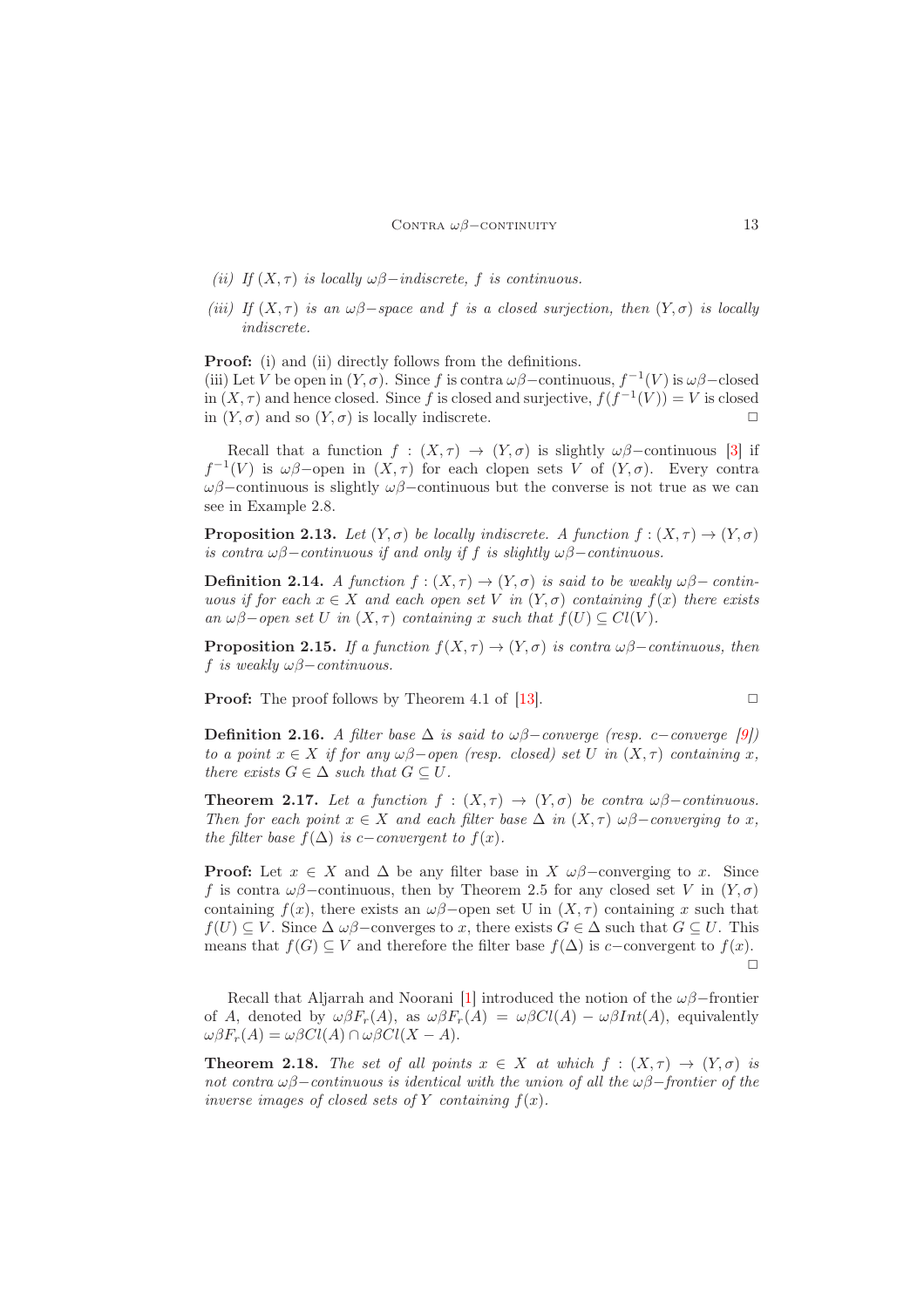- (ii) If  $(X, \tau)$  is locally  $\omega\beta$ −indiscrete, f is continuous.
- (iii) If  $(X, \tau)$  is an  $\omega\beta$ -space and f is a closed surjection, then  $(Y, \sigma)$  is locally indiscrete.

Proof: (i) and (ii) directly follows from the definitions.

(iii) Let V be open in  $(Y, \sigma)$ . Since f is contra  $\omega\beta$  – continuous,  $f^{-1}(V)$  is  $\omega\beta$  – closed in  $(X, \tau)$  and hence closed. Since f is closed and surjective,  $f(f^{-1}(V)) = V$  is closed in  $(Y, \sigma)$  and so  $(Y, \sigma)$  is locally indiscrete.

Recall that a function  $f : (X, \tau) \to (Y, \sigma)$  is slightly  $\omega\beta$ -continuous [\[3\]](#page-12-7) if  $f^{-1}(V)$  is  $\omega\beta$ -open in  $(X, \tau)$  for each clopen sets V of  $(Y, \sigma)$ . Every contra ωβ−continuous is slightly ωβ−continuous but the converse is not true as we can see in Example 2.8.

**Proposition 2.13.** Let  $(Y, \sigma)$  be locally indiscrete. A function  $f : (X, \tau) \to (Y, \sigma)$ is contra  $\omega\beta$ −continuous if and only if f is slightly  $\omega\beta$ −continuous.

**Definition 2.14.** A function  $f : (X, \tau) \to (Y, \sigma)$  is said to be weakly  $\omega\beta$ – continuous if for each  $x \in X$  and each open set V in  $(Y, \sigma)$  containing  $f(x)$  there exists an  $\omega\beta$ -open set U in  $(X, \tau)$  containing x such that  $f(U) \subseteq Cl(V)$ .

**Proposition 2.15.** If a function  $f(X, \tau) \to (Y, \sigma)$  is contra  $\omega\beta$ –continuous, then f is weakly  $\omega\beta$ −continuous.

**Proof:** The proof follows by Theorem 4.1 of [\[13\]](#page-13-5).

$$
\Box
$$

Definition 2.16. A filter base  $\Delta$  is said to  $\omega\beta$ −converge (resp. c−converge [\[9\]](#page-12-8)) to a point  $x \in X$  if for any  $\omega\beta$ -open (resp. closed) set U in  $(X, \tau)$  containing x, there exists  $G \in \Delta$  such that  $G \subseteq U$ .

**Theorem 2.17.** Let a function  $f : (X, \tau) \to (Y, \sigma)$  be contra  $\omega\beta$ -continuous. Then for each point  $x \in X$  and each filter base  $\Delta$  in  $(X, \tau)$   $\omega\beta$ -converging to x, the filter base  $f(\Delta)$  is c−convergent to  $f(x)$ .

**Proof:** Let  $x \in X$  and  $\Delta$  be any filter base in  $X \omega \beta$ –converging to x. Since f is contra  $\omega\beta$ –continuous, then by Theorem 2.5 for any closed set V in  $(Y, \sigma)$ containing  $f(x)$ , there exists an  $\omega\beta$ -open set U in  $(X, \tau)$  containing x such that  $f(U) \subseteq V$ . Since  $\Delta \omega \beta$ -converges to x, there exists  $G \in \Delta$  such that  $G \subseteq U$ . This means that  $f(G) \subseteq V$  and therefore the filter base  $f(\Delta)$  is c−convergent to  $f(x)$ .  $\Box$ 

Recall that Aljarrah and Noorani [\[1\]](#page-12-2) introduced the notion of the  $\omega\beta$ −frontier of A, denoted by  $\omega \beta F_r(A)$ , as  $\omega \beta F_r(A) = \omega \beta C l(A) - \omega \beta Int(A)$ , equivalently  $\omega\beta F_r(A) = \omega\beta Cl(A) \cap \omega\beta Cl(X-A).$ 

**Theorem 2.18.** The set of all points  $x \in X$  at which  $f : (X, \tau) \to (Y, \sigma)$  is not contra  $\omega\beta$ −continuous is identical with the union of all the  $\omega\beta$ −frontier of the inverse images of closed sets of Y containing  $f(x)$ .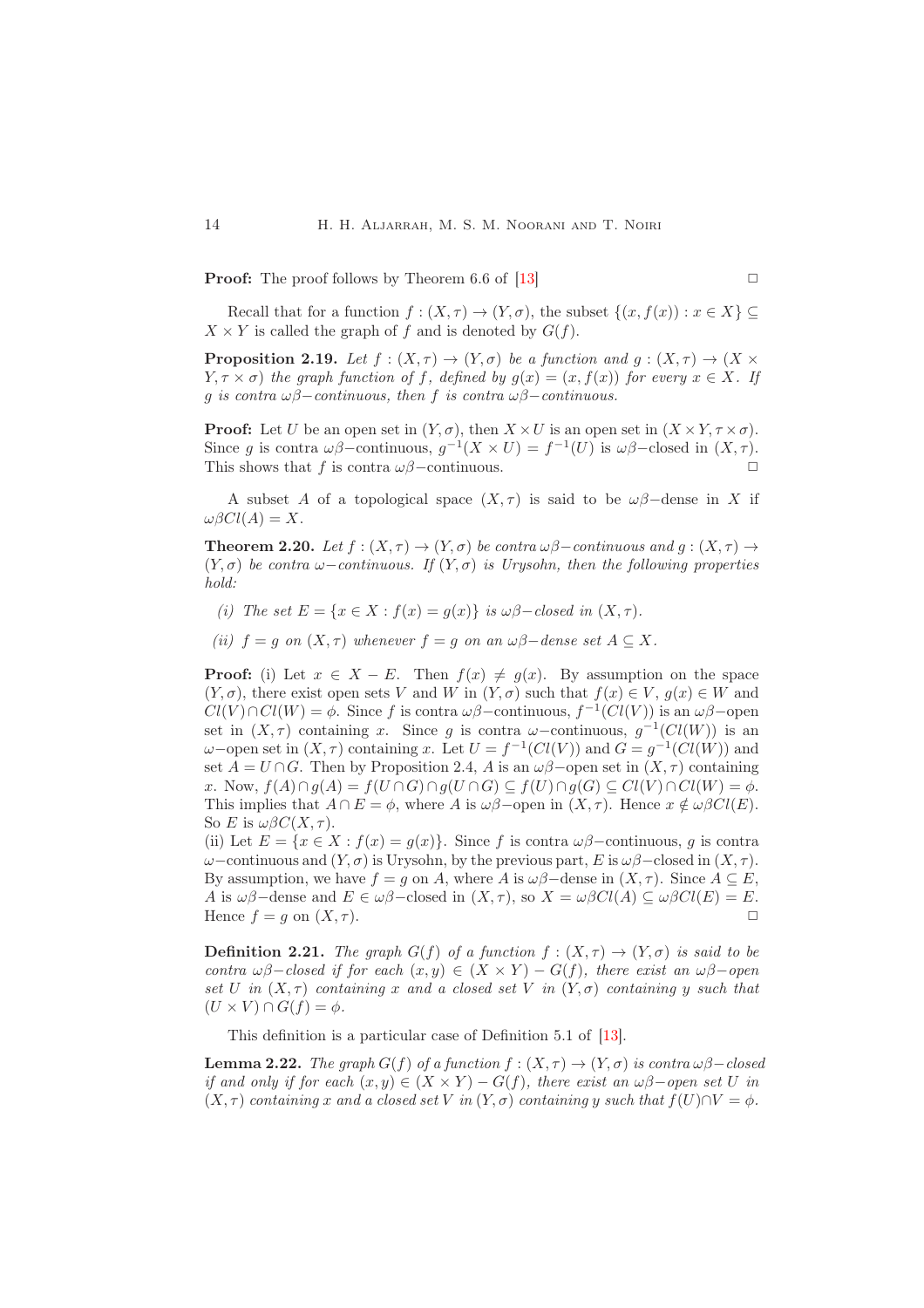**Proof:** The proof follows by Theorem 6.6 of [\[13\]](#page-13-5)  $\Box$ 

Recall that for a function  $f : (X, \tau) \to (Y, \sigma)$ , the subset  $\{(x, f(x)) : x \in X\} \subset$  $X \times Y$  is called the graph of f and is denoted by  $G(f)$ .

**Proposition 2.19.** Let  $f : (X, \tau) \to (Y, \sigma)$  be a function and  $g : (X, \tau) \to (X \times$  $Y, \tau \times \sigma$ ) the graph function of f, defined by  $g(x) = (x, f(x))$  for every  $x \in X$ . If g is contra  $\omega\beta$ −continuous, then f is contra  $\omega\beta$ −continuous.

**Proof:** Let U be an open set in  $(Y, \sigma)$ , then  $X \times U$  is an open set in  $(X \times Y, \tau \times \sigma)$ . Since g is contra  $\omega\beta$ -continuous,  $g^{-1}(X \times U) = f^{-1}(U)$  is  $\omega\beta$ -closed in  $(X, \tau)$ . This shows that f is contra  $\omega\beta$ –continuous.  $\Box$ 

A subset A of a topological space  $(X, \tau)$  is said to be  $\omega\beta$ -dense in X if  $\omega\beta Cl(A) = X.$ 

**Theorem 2.20.** Let  $f : (X, \tau) \to (Y, \sigma)$  be contra  $\omega\beta$ –continuous and  $g : (X, \tau) \to$  $(Y, \sigma)$  be contra  $\omega$ -continuous. If  $(Y, \sigma)$  is Urysohn, then the following properties hold:

(i) The set  $E = \{x \in X : f(x) = q(x)\}\$ is  $\omega\beta$ -closed in  $(X, \tau)$ .

(ii)  $f = q$  on  $(X, \tau)$  whenever  $f = q$  on an  $\omega\beta$ -dense set  $A \subset X$ .

**Proof:** (i) Let  $x \in X - E$ . Then  $f(x) \neq g(x)$ . By assumption on the space  $(Y, \sigma)$ , there exist open sets V and W in  $(Y, \sigma)$  such that  $f(x) \in V$ ,  $g(x) \in W$  and  $Cl(V) \cap Cl(W) = \phi$ . Since f is contra  $\omega\beta$ -continuous,  $f^{-1}(Cl(V))$  is an  $\omega\beta$ -open set in  $(X, \tau)$  containing x. Since g is contra  $\omega$ -continuous,  $g^{-1}(Cl(W))$  is an  $\omega$ -open set in  $(X, \tau)$  containing x. Let  $U = f^{-1}(Cl(V))$  and  $G = g^{-1}(Cl(W))$  and set  $A = U \cap G$ . Then by Proposition 2.4, A is an  $\omega\beta$ -open set in  $(X, \tau)$  containing x. Now,  $f(A) \cap g(A) = f(U \cap G) \cap g(U \cap G) \subseteq f(U) \cap g(G) \subseteq Cl(V) \cap Cl(W) = \phi$ . This implies that  $A \cap E = \phi$ , where A is  $\omega\beta$ -open in  $(X, \tau)$ . Hence  $x \notin \omega\beta Cl(E)$ . So E is  $\omega \beta C(X, \tau)$ .

(ii) Let  $E = \{x \in X : f(x) = g(x)\}\)$ . Since f is contra  $\omega\beta$ -continuous, g is contra  $ω$ −continuous and  $(Y, σ)$  is Urysohn, by the previous part, E is  $ωβ$ −closed in  $(X, τ)$ . By assumption, we have  $f = g$  on A, where A is  $\omega\beta$ -dense in  $(X, \tau)$ . Since  $A \subseteq E$ , A is  $\omega\beta$ -dense and  $E \in \omega\beta$ -closed in  $(X, \tau)$ , so  $X = \omega\beta Cl(A) \subseteq \omega\beta Cl(E) = E$ . Hence  $f = g$  on  $(X, \tau)$ .

**Definition 2.21.** The graph  $G(f)$  of a function  $f : (X, \tau) \to (Y, \sigma)$  is said to be contra  $\omega\beta$ -closed if for each  $(x, y) \in (X \times Y) - G(f)$ , there exist an  $\omega\beta$ -open set U in  $(X, \tau)$  containing x and a closed set V in  $(Y, \sigma)$  containing y such that  $(U \times V) \cap G(f) = \phi.$ 

This definition is a particular case of Definition 5.1 of [\[13\]](#page-13-5).

**Lemma 2.22.** The graph  $G(f)$  of a function  $f : (X, \tau) \to (Y, \sigma)$  is contra  $\omega\beta$  – closed if and only if for each  $(x, y) \in (X \times Y) - G(f)$ , there exist an  $\omega\beta$ -open set U in  $(X, \tau)$  containing x and a closed set V in  $(Y, \sigma)$  containing y such that  $f(U) \cap V = \phi$ .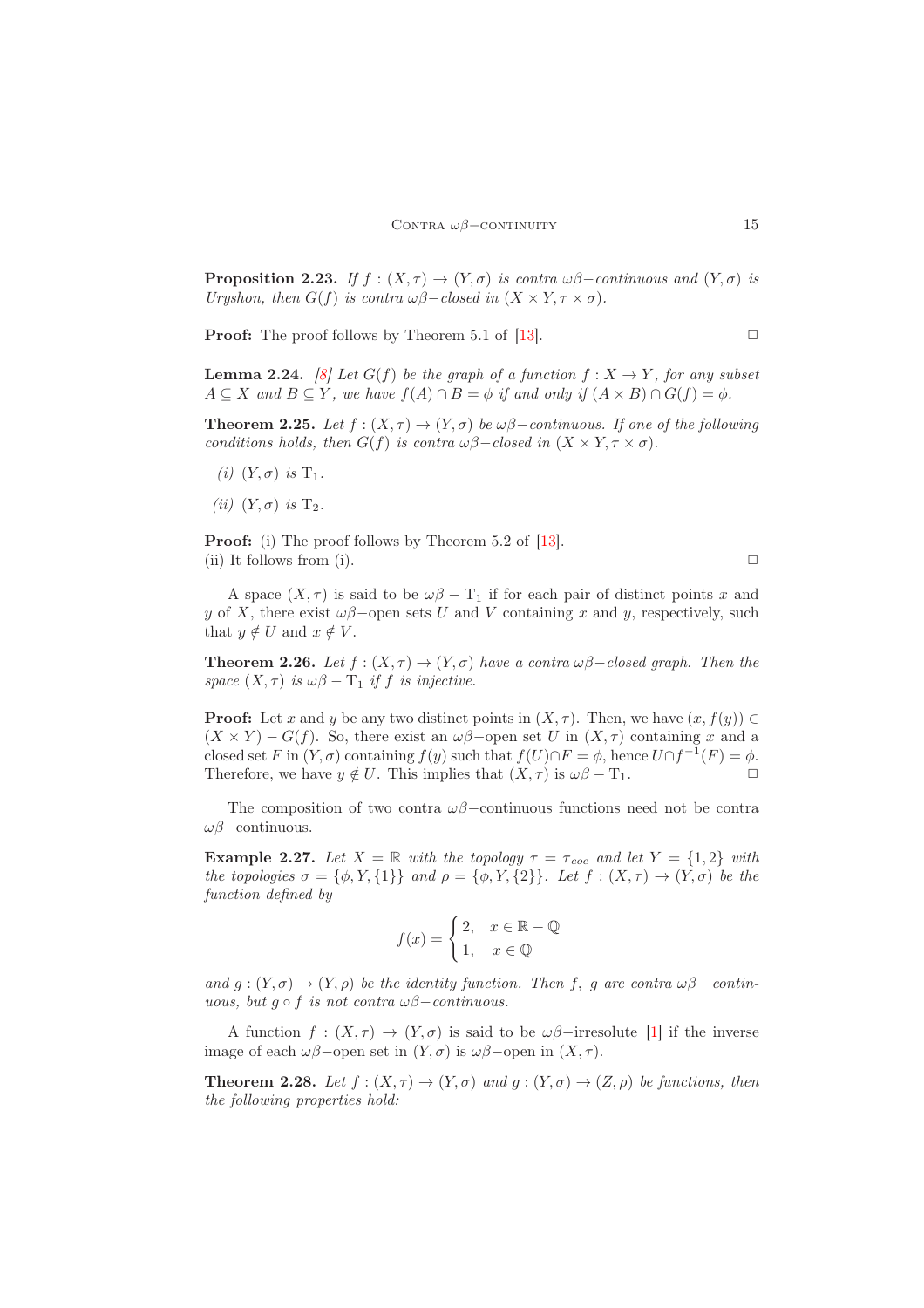**Proposition 2.23.** If  $f : (X, \tau) \to (Y, \sigma)$  is contra  $\omega\beta$ -continuous and  $(Y, \sigma)$  is Uryshon, then  $G(f)$  is contra  $\omega\beta$ -closed in  $(X \times Y, \tau \times \sigma)$ .

**Proof:** The proof follows by Theorem 5.1 of [\[13\]](#page-13-5).  $\Box$ 

**Lemma 2.24.** [\[8\]](#page-12-9) Let  $G(f)$  be the graph of a function  $f : X \to Y$ , for any subset  $A \subseteq X$  and  $B \subseteq Y$ , we have  $f(A) \cap B = \phi$  if and only if  $(A \times B) \cap G(f) = \phi$ .

**Theorem 2.25.** Let  $f : (X, \tau) \to (Y, \sigma)$  be  $\omega\beta$ -continuous. If one of the following conditions holds, then  $G(f)$  is contra  $\omega\beta$ –closed in  $(X \times Y, \tau \times \sigma)$ .

- (i)  $(Y, \sigma)$  is  $T_1$ .
- (ii)  $(Y, \sigma)$  is  $T_2$ .

Proof: (i) The proof follows by Theorem 5.2 of [\[13\]](#page-13-5). (ii) It follows from (i).  $\Box$ 

A space  $(X, \tau)$  is said to be  $\omega\beta - T_1$  if for each pair of distinct points x and y of X, there exist  $\omega\beta$ -open sets U and V containing x and y, respectively, such that  $y \notin U$  and  $x \notin V$ .

**Theorem 2.26.** Let  $f : (X, \tau) \to (Y, \sigma)$  have a contra  $\omega\beta$ -closed graph. Then the space  $(X, \tau)$  is  $\omega\beta - \mathrm{T}_1$  if f is injective.

**Proof:** Let x and y be any two distinct points in  $(X, \tau)$ . Then, we have  $(x, f(y)) \in$  $(X \times Y) - G(f)$ . So, there exist an  $\omega\beta$ -open set U in  $(X, \tau)$  containing x and a closed set F in  $(Y, \sigma)$  containing  $f(y)$  such that  $f(U) \cap F = \phi$ , hence  $U \cap f^{-1}(F) = \phi$ . Therefore, we have  $y \notin U$ . This implies that  $(X, \tau)$  is  $\omega\beta - T_1$ .

The composition of two contra  $\omega\beta$ –continuous functions need not be contra ωβ−continuous.

**Example 2.27.** Let  $X = \mathbb{R}$  with the topology  $\tau = \tau_{\text{coc}}$  and let  $Y = \{1, 2\}$  with the topologies  $\sigma = \{\phi, Y, \{1\}\}\$ and  $\rho = \{\phi, Y, \{2\}\}\$ . Let  $f : (X, \tau) \to (Y, \sigma)$  be the function defined by

$$
f(x) = \begin{cases} 2, & x \in \mathbb{R} - \mathbb{Q} \\ 1, & x \in \mathbb{Q} \end{cases}
$$

and  $g: (Y, \sigma) \to (Y, \rho)$  be the identity function. Then f, g are contra  $\omega\beta$  - continuous, but  $q \circ f$  is not contra  $\omega\beta$ -continuous.

A function  $f : (X, \tau) \to (Y, \sigma)$  is said to be  $\omega\beta$ -irresolute [\[1\]](#page-12-2) if the inverse image of each  $\omega\beta$ -open set in  $(Y,\sigma)$  is  $\omega\beta$ -open in  $(X,\tau)$ .

**Theorem 2.28.** Let  $f:(X,\tau) \to (Y,\sigma)$  and  $g:(Y,\sigma) \to (Z,\rho)$  be functions, then the following properties hold: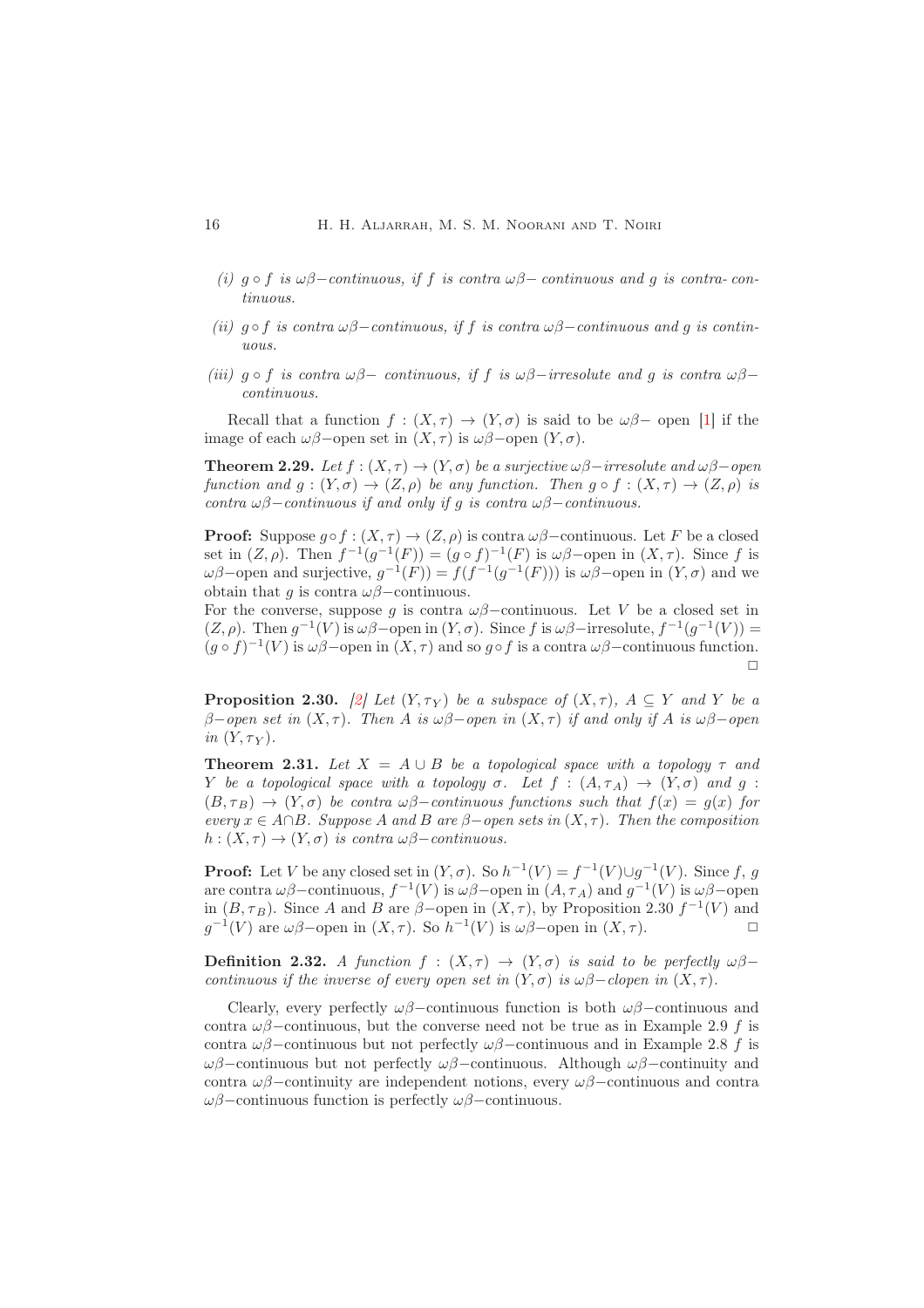- (i)  $g \circ f$  is  $\omega\beta$ -continuous, if f is contra  $\omega\beta$ -continuous and g is contra-continuous.
- (ii)  $g \circ f$  is contra  $\omega\beta$ -continuous, if f is contra  $\omega\beta$ -continuous and g is continuous.
- (iii)  $g \circ f$  is contra  $\omega\beta-$  continuous, if f is  $\omega\beta-$ irresolute and g is contra  $\omega\beta$ continuous.

Recall that a function  $f : (X, \tau) \to (Y, \sigma)$  is said to be  $\omega\beta$ - open [\[1\]](#page-12-2) if the image of each  $\omega\beta$ -open set in  $(X, \tau)$  is  $\omega\beta$ -open  $(Y, \sigma)$ .

**Theorem 2.29.** Let  $f : (X, \tau) \to (Y, \sigma)$  be a surjective  $\omega\beta$ -irresolute and  $\omega\beta$ -open function and  $q: (Y, \sigma) \to (Z, \rho)$  be any function. Then  $q \circ f: (X, \tau) \to (Z, \rho)$  is contra  $\omega\beta$ −continuous if and only if g is contra  $\omega\beta$ −continuous.

**Proof:** Suppose  $q \circ f : (X, \tau) \to (Z, \rho)$  is contra  $\omega\beta$ -continuous. Let F be a closed set in  $(Z, \rho)$ . Then  $f^{-1}(g^{-1}(F)) = (g \circ f)^{-1}(F)$  is  $\omega\beta$ -open in  $(X, \tau)$ . Since f is ωβ–open and surjective,  $g^{-1}(F) = f(f^{-1}(g^{-1}(F)))$  is ωβ–open in  $(Y, σ)$  and we obtain that q is contra  $\omega\beta$ –continuous.

For the converse, suppose q is contra  $\omega\beta$ -continuous. Let V be a closed set in  $(Z, \rho)$ . Then  $g^{-1}(V)$  is  $\omega\beta$ -open in  $(Y, \sigma)$ . Since f is  $\omega\beta$ -irresolute,  $f^{-1}(g^{-1}(V))$  =  $(g \circ f)^{-1}(V)$  is  $\omega\beta$ -open in  $(X, \tau)$  and so  $g \circ f$  is a contra  $\omega\beta$ -continuous function.  $\Box$ 

**Proposition 2.30.** [\[2\]](#page-12-1) Let  $(Y, \tau_Y)$  be a subspace of  $(X, \tau)$ ,  $A \subseteq Y$  and Y be a β−open set in  $(X, \tau)$ . Then A is  $\omega\beta$ −open in  $(X, \tau)$  if and only if A is  $\omega\beta$ −open in  $(Y, \tau_Y)$ .

**Theorem 2.31.** Let  $X = A \cup B$  be a topological space with a topology  $\tau$  and Y be a topological space with a topology  $\sigma$ . Let  $f : (A, \tau_A) \to (Y, \sigma)$  and  $g$ :  $(B, \tau_B) \rightarrow (Y, \sigma)$  be contra  $\omega\beta$ -continuous functions such that  $f(x) = g(x)$  for every  $x \in A \cap B$ . Suppose A and B are  $\beta$ -open sets in  $(X, \tau)$ . Then the composition  $h: (X, \tau) \to (Y, \sigma)$  is contra  $\omega\beta$ –continuous.

**Proof:** Let V be any closed set in  $(Y, \sigma)$ . So  $h^{-1}(V) = f^{-1}(V) \cup g^{-1}(V)$ . Since f, g are contra  $\omega\beta$ -continuous,  $f^{-1}(V)$  is  $\omega\beta$ -open in  $(A, \tau_A)$  and  $g^{-1}(V)$  is  $\omega\beta$ -open in  $(B, \tau_B)$ . Since A and B are  $\beta$ -open in  $(X, \tau)$ , by Proposition 2.30  $f^{-1}(V)$  and  $g^{-1}(V)$  are  $\omega\beta$ -open in  $(X,\tau)$ . So  $h^{-1}(V)$  is  $\omega\beta$ -open in  $(X,\tau)$ .

**Definition 2.32.** A function  $f : (X, \tau) \to (Y, \sigma)$  is said to be perfectly  $\omega\beta$ continuous if the inverse of every open set in  $(Y, \sigma)$  is  $\omega\beta$ -clopen in  $(X, \tau)$ .

Clearly, every perfectly  $\omega\beta$ –continuous function is both  $\omega\beta$ –continuous and contra  $\omega\beta$ –continuous, but the converse need not be true as in Example 2.9 f is contra  $\omega\beta$ –continuous but not perfectly  $\omega\beta$ –continuous and in Example 2.8 f is ωβ−continuous but not perfectly ωβ−continuous. Although ωβ−continuity and contra  $\omega\beta$ –continuity are independent notions, every  $\omega\beta$ –continuous and contra  $ωβ$ –continuous function is perfectly  $ωβ$ –continuous.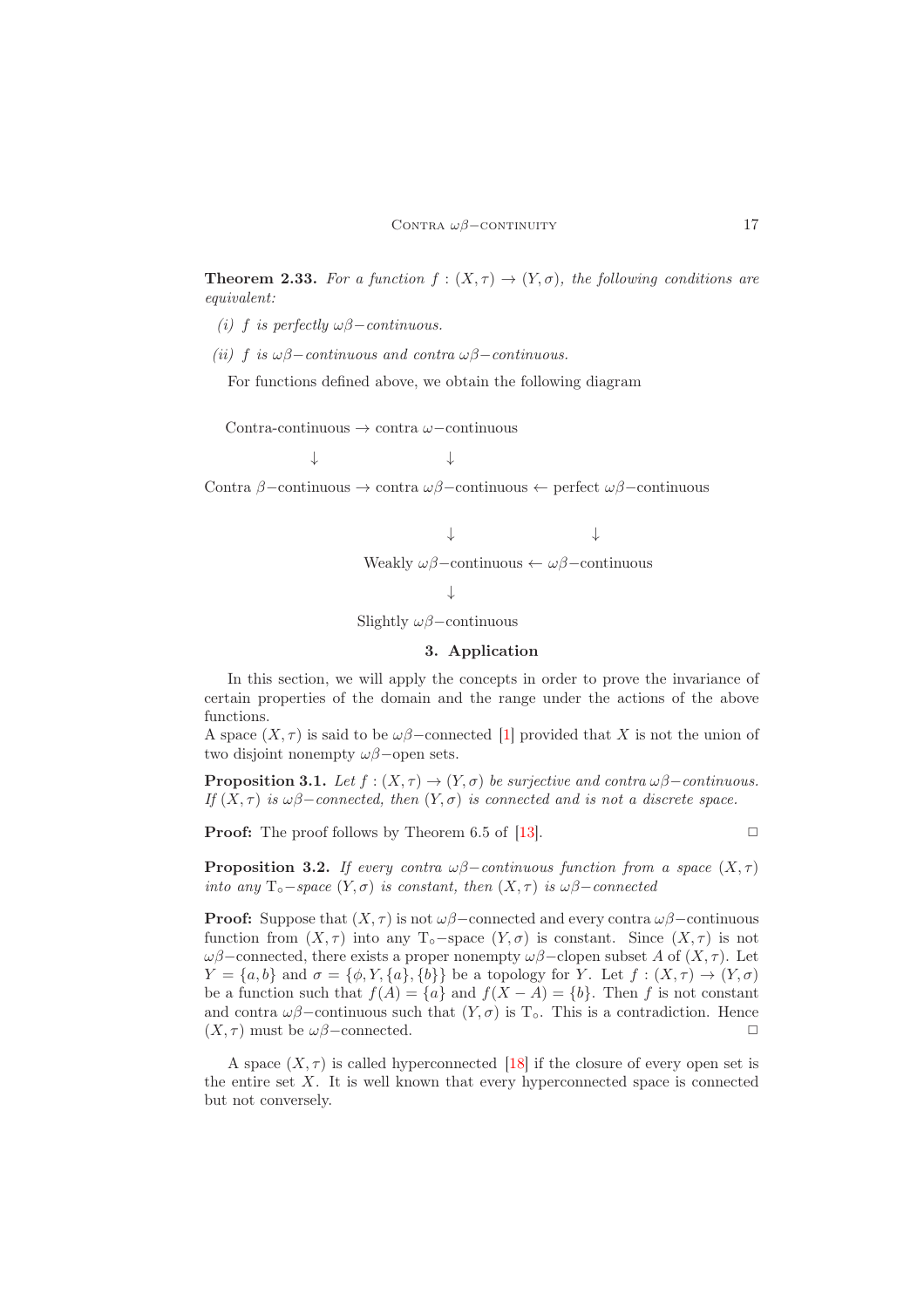**Theorem 2.33.** For a function  $f : (X, \tau) \to (Y, \sigma)$ , the following conditions are equivalent:

(i) f is perfectly  $\omega\beta$ −continuous.

(ii) f is  $\omega\beta$ -continuous and contra  $\omega\beta$ -continuous.

For functions defined above, we obtain the following diagram

Contra-continuous → contra ω−continuous

↓ ↓

Contra β−continuous → contra ωβ−continuous ← perfect ωβ−continuous

Weakly 
$$
\omega\beta
$$
-continuous  $\leftarrow \omega\beta$ -continuous

↓ ↓

↓

Slightly  $\omega\beta$ –continuous

### 3. Application

<span id="page-8-0"></span>In this section, we will apply the concepts in order to prove the invariance of certain properties of the domain and the range under the actions of the above functions.

A space  $(X, \tau)$  is said to be  $\omega\beta$ –connected [\[1\]](#page-12-2) provided that X is not the union of two disjoint nonempty  $\omega\beta$ −open sets.

**Proposition 3.1.** Let  $f : (X, \tau) \to (Y, \sigma)$  be surjective and contra  $\omega\beta$ –continuous. If  $(X, \tau)$  is  $\omega\beta$ -connected, then  $(Y, \sigma)$  is connected and is not a discrete space.

**Proof:** The proof follows by Theorem 6.5 of [\[13\]](#page-13-5).  $\Box$ 

**Proposition 3.2.** If every contra  $\omega\beta$ -continuous function from a space  $(X, \tau)$ into any  $T \circ - space \ (Y, \sigma)$  is constant, then  $(X, \tau)$  is  $\omega\beta$ -connected

**Proof:** Suppose that  $(X, \tau)$  is not  $\omega\beta$ –connected and every contra  $\omega\beta$ –continuous function from  $(X, \tau)$  into any T<sub>○</sub>−space  $(Y, \sigma)$  is constant. Since  $(X, \tau)$  is not  $\omega\beta$ −connected, there exists a proper nonempty  $\omega\beta$ −clopen subset A of  $(X, \tau)$ . Let  $Y = \{a, b\}$  and  $\sigma = \{\phi, Y, \{a\}, \{b\}\}\$ be a topology for Y. Let  $f : (X, \tau) \to (Y, \sigma)$ be a function such that  $f(A) = \{a\}$  and  $f(X - A) = \{b\}$ . Then f is not constant and contra  $\omega\beta$ –continuous such that  $(Y,\sigma)$  is  $T_\circ$ . This is a contradiction. Hence  $(X, \tau)$  must be  $\omega\beta$ -connected.  $\Box$ 

A space  $(X, \tau)$  is called hyperconnected [\[18\]](#page-13-6) if the closure of every open set is the entire set X. It is well known that every hyperconnected space is connected but not conversely.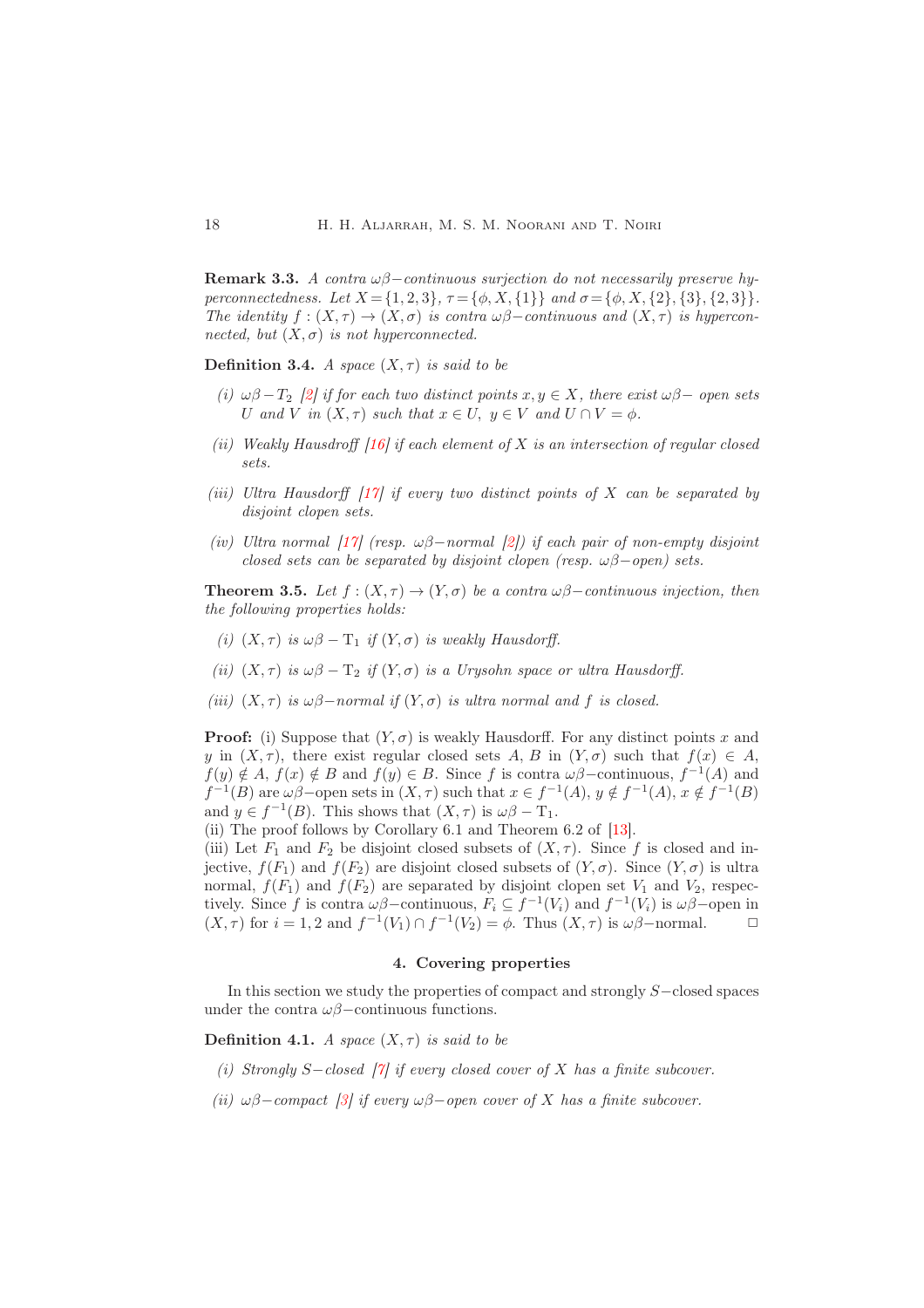**Remark 3.3.** A contra  $\omega\beta$ -continuous surjection do not necessarily preserve hyperconnectedness. Let  $X = \{1, 2, 3\}, \tau = \{\phi, X, \{1\}\}\$ and  $\sigma = \{\phi, X, \{2\}, \{3\}, \{2, 3\}\}.$ The identity  $f : (X, \tau) \to (X, \sigma)$  is contra  $\omega\beta$ -continuous and  $(X, \tau)$  is hyperconnected, but  $(X, \sigma)$  is not hyperconnected.

Definition 3.4. A space  $(X, \tau)$  is said to be

- (i)  $\omega\beta T_2$  [\[2\]](#page-12-1) if for each two distinct points  $x, y \in X$ , there exist  $\omega\beta$  open sets U and V in  $(X, \tau)$  such that  $x \in U$ ,  $y \in V$  and  $U \cap V = \phi$ .
- (ii) Weakly Hausdroff  $[16]$  if each element of X is an intersection of regular closed sets.
- (iii) Ultra Hausdorff  $[17]$  if every two distinct points of X can be separated by disjoint clopen sets.
- (iv) Ultra normal [\[17\]](#page-13-8) (resp.  $\omega\beta$ -normal [\[2\]](#page-12-1)) if each pair of non-empty disjoint closed sets can be separated by disjoint clopen (resp.  $\omega\beta$ -open) sets.

**Theorem 3.5.** Let  $f : (X, \tau) \to (Y, \sigma)$  be a contra  $\omega\beta$ -continuous injection, then the following properties holds:

- (i)  $(X, \tau)$  is  $\omega\beta \Gamma_1$  if  $(Y, \sigma)$  is weakly Hausdorff.
- (ii)  $(X, \tau)$  is  $\omega\beta \mathrm{T}_2$  if  $(Y, \sigma)$  is a Urysohn space or ultra Hausdorff.
- (iii)  $(X, \tau)$  is  $\omega\beta$ -normal if  $(Y, \sigma)$  is ultra normal and f is closed.

**Proof:** (i) Suppose that  $(Y, \sigma)$  is weakly Hausdorff. For any distinct points x and y in  $(X, \tau)$ , there exist regular closed sets A, B in  $(Y, \sigma)$  such that  $f(x) \in A$ ,  $f(y) \notin A$ ,  $f(x) \notin B$  and  $f(y) \in B$ . Since f is contra  $\omega\beta$ -continuous,  $f^{-1}(A)$  and  $f^{-1}(B)$  are  $\omega\beta$ -open sets in  $(X, \tau)$  such that  $x \in f^{-1}(A)$ ,  $y \notin f^{-1}(A)$ ,  $x \notin f^{-1}(B)$ and  $y \in f^{-1}(B)$ . This shows that  $(X, \tau)$  is  $\omega\beta - \mathcal{T}_1$ .

(ii) The proof follows by Corollary 6.1 and Theorem 6.2 of [\[13\]](#page-13-5).

(iii) Let  $F_1$  and  $F_2$  be disjoint closed subsets of  $(X, \tau)$ . Since f is closed and injective,  $f(F_1)$  and  $f(F_2)$  are disjoint closed subsets of  $(Y, \sigma)$ . Since  $(Y, \sigma)$  is ultra normal,  $f(F_1)$  and  $f(F_2)$  are separated by disjoint clopen set  $V_1$  and  $V_2$ , respectively. Since f is contra  $\omega\beta$ -continuous,  $F_i \subseteq f^{-1}(V_i)$  and  $f^{-1}(V_i)$  is  $\omega\beta$ -open in  $(X, \tau)$  for  $i = 1, 2$  and  $f^{-1}(V_1) \cap f^{-1}(V_2) = \phi$ . Thus  $(X, \tau)$  is  $\omega\beta$ -normal.  $\Box$ 

## 4. Covering properties

<span id="page-9-0"></span>In this section we study the properties of compact and strongly S−closed spaces under the contra  $\omega\beta$ −continuous functions.

**Definition 4.1.** A space  $(X, \tau)$  is said to be

- (i) Strongly S-closed [\[7\]](#page-12-3) if every closed cover of X has a finite subcover.
- (ii)  $\omega\beta$ –compact [\[3\]](#page-12-7) if every  $\omega\beta$ –open cover of X has a finite subcover.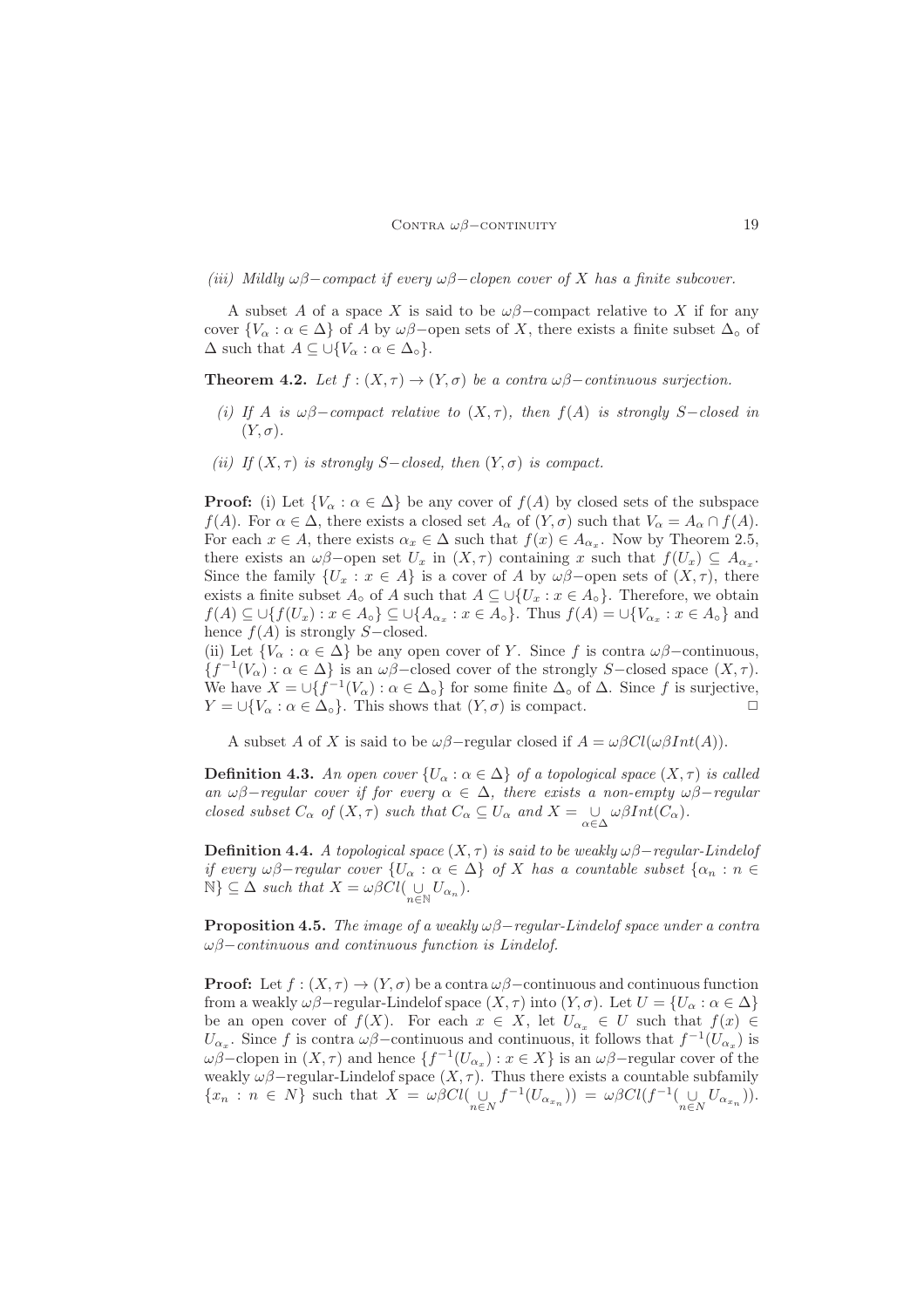(iii) Mildly  $\omega\beta$ -compact if every  $\omega\beta$ -clopen cover of X has a finite subcover.

A subset A of a space X is said to be  $\omega\beta$ –compact relative to X if for any cover  $\{V_\alpha : \alpha \in \Delta\}$  of A by  $\omega\beta$ –open sets of X, there exists a finite subset  $\Delta_\circ$  of  $\Delta$  such that  $A \subseteq \bigcup \{V_{\alpha} : \alpha \in \Delta_{\circ}\}.$ 

**Theorem 4.2.** Let  $f : (X, \tau) \to (Y, \sigma)$  be a contra  $\omega\beta$ -continuous surjection.

- (i) If A is  $\omega\beta$ -compact relative to  $(X, \tau)$ , then  $f(A)$  is strongly S-closed in  $(Y, \sigma)$ .
- (ii) If  $(X, \tau)$  is strongly S-closed, then  $(Y, \sigma)$  is compact.

**Proof:** (i) Let  $\{V_\alpha : \alpha \in \Delta\}$  be any cover of  $f(A)$  by closed sets of the subspace  $f(A)$ . For  $\alpha \in \Delta$ , there exists a closed set  $A_{\alpha}$  of  $(Y, \sigma)$  such that  $V_{\alpha} = A_{\alpha} \cap f(A)$ . For each  $x \in A$ , there exists  $\alpha_x \in \Delta$  such that  $f(x) \in A_{\alpha_x}$ . Now by Theorem 2.5, there exists an  $\omega\beta$ -open set  $U_x$  in  $(X,\tau)$  containing x such that  $f(U_x) \subseteq A_{\alpha_x}$ . Since the family  $\{U_x : x \in A\}$  is a cover of A by  $\omega\beta$ -open sets of  $(X, \tau)$ , there exists a finite subset  $A_{\circ}$  of A such that  $A \subseteq \cup \{U_x : x \in A_{\circ}\}\$ . Therefore, we obtain  $f(A) \subseteq \bigcup \{f(U_x) : x \in A_{\circ}\} \subseteq \bigcup \{A_{\alpha_x} : x \in A_{\circ}\}\$ . Thus  $f(A) = \bigcup \{V_{\alpha_x} : x \in A_{\circ}\}\$  and hence  $f(A)$  is strongly S–closed.

(ii) Let  $\{V_\alpha : \alpha \in \Delta\}$  be any open cover of Y. Since f is contra  $\omega\beta$ -continuous,  ${f^{-1}(V_\alpha) : \alpha \in \Delta}$  is an  $\omega\beta$ –closed cover of the strongly S–closed space  $(X, \tau)$ . We have  $X = \bigcup \{f^{-1}(V_\alpha) : \alpha \in \Delta_\circ\}$  for some finite  $\Delta_\circ$  of  $\Delta$ . Since f is surjective,  $Y = \bigcup \{V_\alpha : \alpha \in \Delta_\circ\}.$  This shows that  $(Y, \sigma)$  is compact.

A subset A of X is said to be  $\omega\beta$ -regular closed if  $A = \omega\beta Cl(\omega\beta Int(A)).$ 

**Definition 4.3.** An open cover  $\{U_{\alpha} : \alpha \in \Delta\}$  of a topological space  $(X, \tau)$  is called an  $\omega\beta$ -regular cover if for every  $\alpha \in \Delta$ , there exists a non-empty  $\omega\beta$ -regular closed subset  $C_{\alpha}$  of  $(X, \tau)$  such that  $C_{\alpha} \subseteq U_{\alpha}$  and  $X = \bigcup_{\alpha \in \Delta} \omega \beta Int(C_{\alpha})$ .

**Definition 4.4.** A topological space  $(X, \tau)$  is said to be weakly  $\omega\beta$ -regular-Lindelof if every  $\omega\beta$ -regular cover  $\{U_\alpha : \alpha \in \Delta\}$  of X has a countable subset  $\{\alpha_n : n \in \Delta\}$  $\mathbb{N}\}\subseteq \Delta$  such that  $X=\omega \beta Cl(\bigcup_{n\in\mathbb{N}}U_{\alpha_n}).$ 

**Proposition 4.5.** The image of a weakly  $\omega\beta$ -regular-Lindelof space under a contra  $\omega\beta$ –continuous and continuous function is Lindelof.

**Proof:** Let  $f : (X, \tau) \to (Y, \sigma)$  be a contra  $\omega\beta$ –continuous and continuous function from a weakly  $\omega\beta$ -regular-Lindelof space  $(X,\tau)$  into  $(Y,\sigma)$ . Let  $U = \{U_\alpha : \alpha \in \Delta\}$ be an open cover of  $f(X)$ . For each  $x \in X$ , let  $U_{\alpha_x} \in U$  such that  $f(x) \in$  $U_{\alpha_x}$ . Since f is contra  $\omega\beta$  – continuous and continuous, it follows that  $f^{-1}(U_{\alpha_x})$  is  $\omega \to \omega$ <sup>-</sup>clopen in  $(X, \tau)$  and hence  $\{f^{-1}(U_{\alpha_x}) : x \in X\}$  is an  $\omega \to -$ regular cover of the weakly  $\omega\beta$ -regular-Lindelof space  $(X, \tau)$ . Thus there exists a countable subfamily  ${x_n : n \in N}$  such that  $X = \omega \beta Cl(\bigcup_{n \in N} f^{-1}(U_{\alpha_{x_n}})) = \omega \beta Cl(f^{-1}(\bigcup_{n \in N} U_{\alpha_{x_n}})).$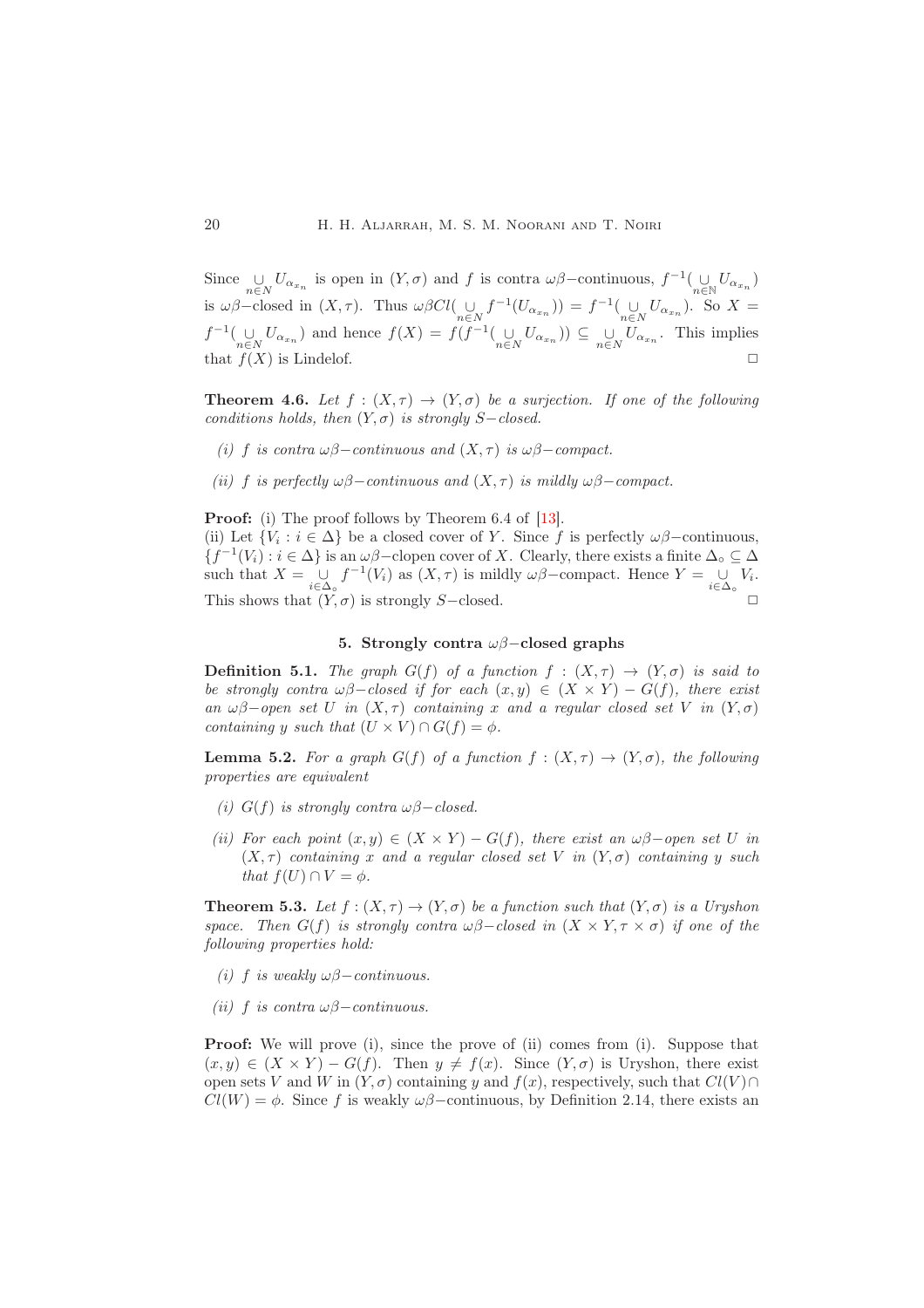Since  $\bigcup_{n\in N} U_{\alpha_{x_n}}$  is open in  $(Y, \sigma)$  and f is contra  $\omega\beta$ -continuous,  $f^{-1}(\bigcup_{n\in N} U_{\alpha_{x_n}})$ is  $\omega\beta$ -closed in  $(X, \tau)$ . Thus  $\omega\beta Cl(\bigcup_{n\in N}f^{-1}(U_{\alpha_{x_n}})) = f^{-1}(\bigcup_{n\in N}U_{\alpha_{x_n}})$ . So  $X =$  $f^{-1}(\bigcup_{n\in N}U_{\alpha_{x_n}})$  and hence  $f(X) = f(f^{-1}(\bigcup_{n\in N}U_{\alpha_{x_n}})) \subseteq \bigcup_{n\in N}U_{\alpha_{x_n}}$ . This implies that  $f(X)$  is Lindelof.

**Theorem 4.6.** Let  $f : (X, \tau) \to (Y, \sigma)$  be a surjection. If one of the following conditions holds, then  $(Y, \sigma)$  is strongly S−closed.

- (i) f is contra  $\omega\beta$ -continuous and  $(X, \tau)$  is  $\omega\beta$ -compact.
- (ii) f is perfectly  $\omega\beta$ −continuous and  $(X, \tau)$  is mildly  $\omega\beta$ −compact.

Proof: (i) The proof follows by Theorem 6.4 of [\[13\]](#page-13-5).

(ii) Let  $\{V_i : i \in \Delta\}$  be a closed cover of Y. Since f is perfectly  $\omega\beta$ -continuous,  ${f^{-1}(V_i) : i \in \Delta}$  is an  $\omega\beta$ -clopen cover of X. Clearly, there exists a finite  $\Delta_{\circ} \subseteq \Delta$ such that  $X = \bigcup_{i \in \Delta_o} f^{-1}(V_i)$  as  $(X, \tau)$  is mildly  $\omega\beta$ -compact. Hence  $Y = \bigcup_{i \in \Delta_o} V_i$ . This shows that  $(Y, \sigma)$  is strongly S-closed.  $\Box$ 

# 5. Strongly contra  $\omega\beta$ –closed graphs

<span id="page-11-0"></span>**Definition 5.1.** The graph  $G(f)$  of a function  $f : (X, \tau) \to (Y, \sigma)$  is said to be strongly contra  $\omega\beta$ -closed if for each  $(x, y) \in (X \times Y) - G(f)$ , there exist an  $\omega\beta$ -open set U in  $(X, \tau)$  containing x and a regular closed set V in  $(Y, \sigma)$ containing y such that  $(U \times V) \cap G(f) = \phi$ .

**Lemma 5.2.** For a graph  $G(f)$  of a function  $f : (X, \tau) \to (Y, \sigma)$ , the following properties are equivalent

- (i)  $G(f)$  is strongly contra  $\omega\beta$ -closed.
- (ii) For each point  $(x, y) \in (X \times Y) G(f)$ , there exist an  $\omega\beta$ -open set U in  $(X, \tau)$  containing x and a regular closed set V in  $(Y, \sigma)$  containing y such that  $f(U) \cap V = \phi$ .

**Theorem 5.3.** Let  $f:(X,\tau) \to (Y,\sigma)$  be a function such that  $(Y,\sigma)$  is a Uryshon space. Then  $G(f)$  is strongly contra  $\omega\beta$ -closed in  $(X \times Y, \tau \times \sigma)$  if one of the following properties hold:

- (i) f is weakly  $\omega\beta$  continuous.
- (ii) f is contra  $\omega\beta$  continuous.

**Proof:** We will prove (i), since the prove of (ii) comes from (i). Suppose that  $(x, y) \in (X \times Y) - G(f)$ . Then  $y \neq f(x)$ . Since  $(Y, \sigma)$  is Uryshon, there exist open sets V and W in  $(Y, \sigma)$  containing y and  $f(x)$ , respectively, such that  $Cl(V) \cap$  $Cl(W) = \phi$ . Since f is weakly  $\omega\beta$ –continuous, by Definition 2.14, there exists an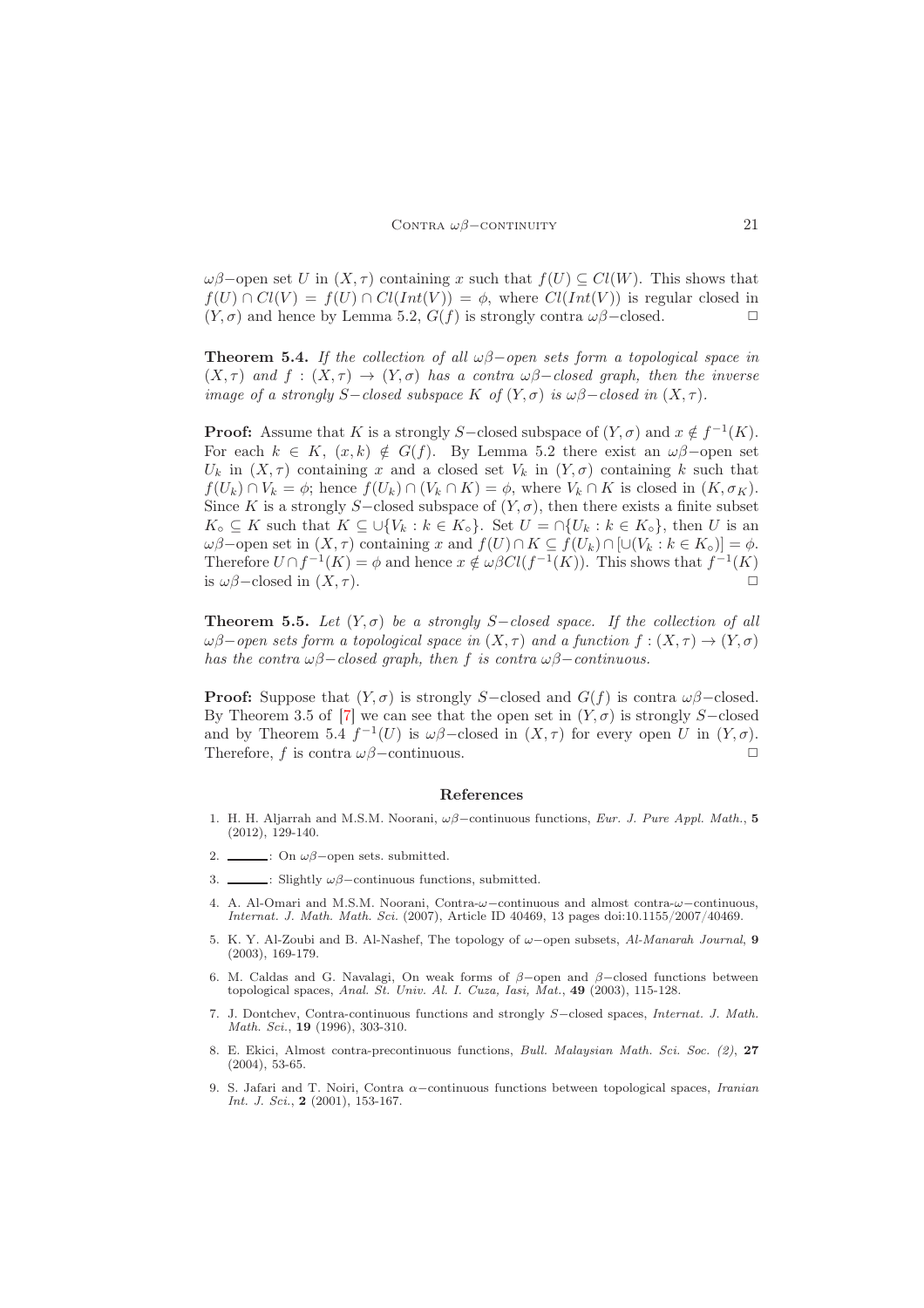$\omega\beta$ –open set U in  $(X, \tau)$  containing x such that  $f(U) \subseteq Cl(W)$ . This shows that  $f(U) \cap Cl(V) = f(U) \cap Cl(Int(V)) = \phi$ , where  $Cl(int(V))$  is regular closed in  $(Y, \sigma)$  and hence by Lemma 5.2,  $G(f)$  is strongly contra  $\omega\beta$ –closed.  $\square$ 

**Theorem 5.4.** If the collection of all  $\omega\beta$ -open sets form a topological space in  $(X, \tau)$  and  $f : (X, \tau) \to (Y, \sigma)$  has a contra  $\omega\beta$ -closed graph, then the inverse image of a strongly S-closed subspace K of  $(Y, \sigma)$  is  $\omega\beta$ -closed in  $(X, \tau)$ .

**Proof:** Assume that K is a strongly S-closed subspace of  $(Y, \sigma)$  and  $x \notin f^{-1}(K)$ . For each  $k \in K$ ,  $(x, k) \notin G(f)$ . By Lemma 5.2 there exist an  $\omega\beta$ -open set  $U_k$  in  $(X, \tau)$  containing x and a closed set  $V_k$  in  $(Y, \sigma)$  containing k such that  $f(U_k) \cap V_k = \phi$ ; hence  $f(U_k) \cap (V_k \cap K) = \phi$ , where  $V_k \cap K$  is closed in  $(K, \sigma_K)$ . Since K is a strongly S-closed subspace of  $(Y, \sigma)$ , then there exists a finite subset  $K_{\circ} \subseteq K$  such that  $K \subseteq \cup \{V_k : k \in K_{\circ}\}.$  Set  $U = \cap \{U_k : k \in K_{\circ}\}$ , then U is an  $ωβ$ –open set in  $(X, τ)$  containing x and  $f(U) ∩ K ⊆ f(U_k) ∩ [∪(V_k : k ∈ K₀)] = φ$ . Therefore  $U \cap f^{-1}(K) = \phi$  and hence  $x \notin \omega \beta Cl(f^{-1}(K))$ . This shows that  $f^{-1}(K)$ is  $\omega\beta$ –closed in  $(X, \tau)$ .

**Theorem 5.5.** Let  $(Y, \sigma)$  be a strongly S-closed space. If the collection of all  $\omega\beta$ −open sets form a topological space in  $(X,\tau)$  and a function  $f:(X,\tau)\to(Y,\sigma)$ has the contra  $\omega\beta$ -closed graph, then f is contra  $\omega\beta$ -continuous.

**Proof:** Suppose that  $(Y, \sigma)$  is strongly S-closed and  $G(f)$  is contra  $\omega\beta$ -closed. By Theorem 3.5 of [\[7\]](#page-12-3) we can see that the open set in  $(Y, \sigma)$  is strongly S–closed and by Theorem 5.4  $f^{-1}(U)$  is  $\omega\beta$ -closed in  $(X, \tau)$  for every open U in  $(Y, \sigma)$ . Therefore, f is contra  $\omega\beta$ –continuous.  $\Box$ 

#### <span id="page-12-0"></span>References

- <span id="page-12-2"></span>1. H. H. Aljarrah and M.S.M. Noorani, ωβ−continuous functions, *Eur. J. Pure Appl. Math.*, 5 (2012), 129-140.
- <span id="page-12-7"></span><span id="page-12-1"></span>2.  $\frac{\ }{\ }$ : On  $\omega\beta$ -open sets. submitted.
- <span id="page-12-4"></span> $\frac{3.5}{2}$ : Slightly  $\omega\beta$ -continuous functions, submitted.
- 4. A. Al-Omari and M.S.M. Noorani, Contra-ω−continuous and almost contra-ω−continuous, *Internat. J. Math. Math. Sci.* (2007), Article ID 40469, 13 pages doi:10.1155/2007/40469.
- <span id="page-12-6"></span>5. K. Y. Al-Zoubi and B. Al-Nashef, The topology of ω−open subsets, *Al-Manarah Journal*, 9 (2003), 169-179.
- <span id="page-12-5"></span>6. M. Caldas and G. Navalagi, On weak forms of  $\beta$ -open and  $\beta$ -closed functions between topological spaces, *Anal. St. Univ. Al. I. Cuza, Iasi, Mat.*, 49 (2003), 115-128.
- <span id="page-12-3"></span>7. J. Dontchev, Contra-continuous functions and strongly S−closed spaces, *Internat. J. Math. Math. Sci.*, 19 (1996), 303-310.
- <span id="page-12-9"></span>8. E. Ekici, Almost contra-precontinuous functions, *Bull. Malaysian Math. Sci. Soc. (2)*, 27 (2004), 53-65.
- <span id="page-12-8"></span>9. S. Jafari and T. Noiri, Contra α−continuous functions between topological spaces, *Iranian Int. J. Sci.*, 2 (2001), 153-167.